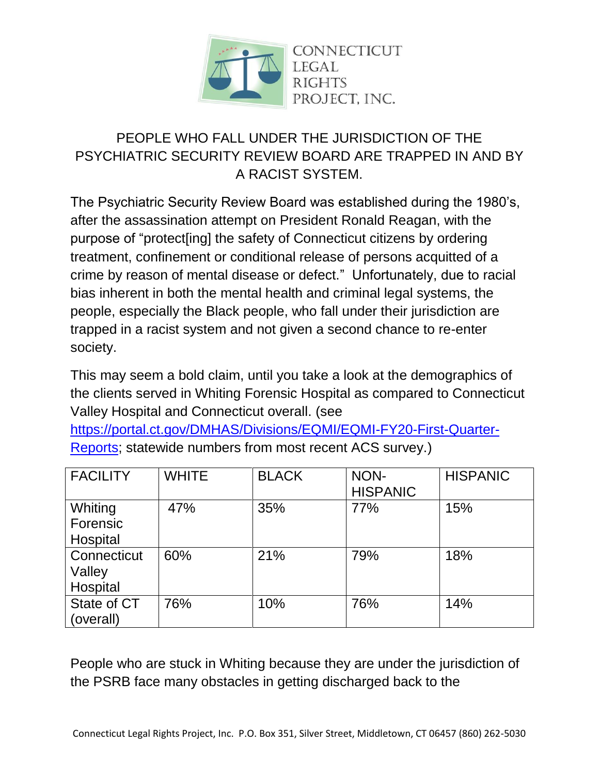

## PEOPLE WHO FALL UNDER THE JURISDICTION OF THE PSYCHIATRIC SECURITY REVIEW BOARD ARE TRAPPED IN AND BY A RACIST SYSTEM.

The Psychiatric Security Review Board was established during the 1980's, after the assassination attempt on President Ronald Reagan, with the purpose of "protect[ing] the safety of Connecticut citizens by ordering treatment, confinement or conditional release of persons acquitted of a crime by reason of mental disease or defect." Unfortunately, due to racial bias inherent in both the mental health and criminal legal systems, the people, especially the Black people, who fall under their jurisdiction are trapped in a racist system and not given a second chance to re-enter society.

This may seem a bold claim, until you take a look at the demographics of the clients served in Whiting Forensic Hospital as compared to Connecticut Valley Hospital and Connecticut overall. (see

[https://portal.ct.gov/DMHAS/Divisions/EQMI/EQMI-FY20-First-Quarter-](https://portal.ct.gov/DMHAS/Divisions/EQMI/EQMI-FY20-First-Quarter-Reports)[Reports;](https://portal.ct.gov/DMHAS/Divisions/EQMI/EQMI-FY20-First-Quarter-Reports) statewide numbers from most recent ACS survey.)

| <b>FACILITY</b>                   | <b>WHITE</b> | <b>BLACK</b> | NON-<br><b>HISPANIC</b> | <b>HISPANIC</b> |
|-----------------------------------|--------------|--------------|-------------------------|-----------------|
| Whiting<br>Forensic<br>Hospital   | 47%          | 35%          | 77%                     | 15%             |
| Connecticut<br>Valley<br>Hospital | 60%          | 21%          | 79%                     | 18%             |
| State of CT<br>(overall)          | 76%          | 10%          | 76%                     | 14%             |

People who are stuck in Whiting because they are under the jurisdiction of the PSRB face many obstacles in getting discharged back to the